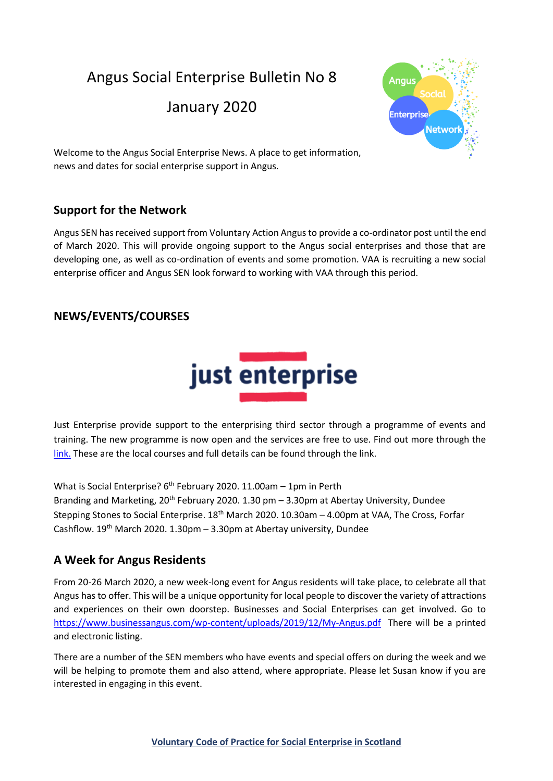Angus Social Enterprise Bulletin No 8

January 2020



Welcome to the Angus Social Enterprise News. A place to get information, news and dates for social enterprise support in Angus.

# **Support for the Network**

Angus SEN has received support from Voluntary Action Angus to provide a co-ordinator post until the end of March 2020. This will provide ongoing support to the Angus social enterprises and those that are developing one, as well as co-ordination of events and some promotion. VAA is recruiting a new social enterprise officer and Angus SEN look forward to working with VAA through this period.

# **NEWS/EVENTS/COURSES**



Just Enterprise provide support to the enterprising third sector through a programme of events and training. The new programme is now open and the services are free to use. Find out more through the [link. T](https://justenterprise.org/)hese are the local courses and full details can be found through the link.

What is Social Enterprise?  $6<sup>th</sup>$  February 2020. 11.00am – 1pm in Perth Branding and Marketing, 20th February 2020. 1.30 pm – 3.30pm at Abertay University, Dundee Stepping Stones to Social Enterprise. 18<sup>th</sup> March 2020. 10.30am - 4.00pm at VAA, The Cross, Forfar Cashflow.  $19^{th}$  March 2020. 1.30pm – 3.30pm at Abertay university, Dundee

# **A Week for Angus Residents**

From 20-26 March 2020, a new week-long event for Angus residents will take place, to celebrate all that Angus has to offer. This will be a unique opportunity for local people to discover the variety of attractions and experiences on their own doorstep. Businesses and Social Enterprises can get involved. Go to <https://www.businessangus.com/wp-content/uploads/2019/12/My-Angus.pdf>There will be a printed and electronic listing.

There are a number of the SEN members who have events and special offers on during the week and we will be helping to promote them and also attend, where appropriate. Please let Susan know if you are interested in engaging in this event.